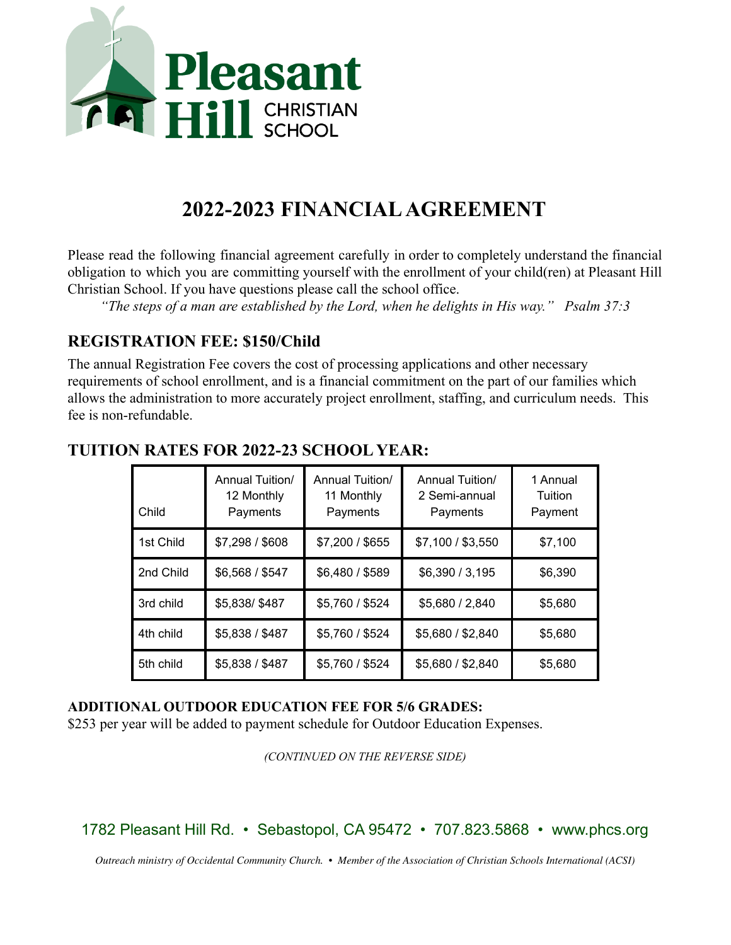

# **2022-2023 FINANCIALAGREEMENT**

Please read the following financial agreement carefully in order to completely understand the financial obligation to which you are committing yourself with the enrollment of your child(ren) at Pleasant Hill Christian School. If you have questions please call the school office.

*"The steps of a man are established by the Lord, when he delights in His way." Psalm 37:3*

### **REGISTRATION FEE: \$150/Child**

The annual Registration Fee covers the cost of processing applications and other necessary requirements of school enrollment, and is a financial commitment on the part of our families which allows the administration to more accurately project enrollment, staffing, and curriculum needs. This fee is non-refundable.

| Child     | Annual Tuition/<br>12 Monthly<br>Payments | Annual Tuition/<br>11 Monthly<br>Payments | <b>Annual Tuition/</b><br>2 Semi-annual<br>Payments | 1 Annual<br>Tuition<br>Payment |
|-----------|-------------------------------------------|-------------------------------------------|-----------------------------------------------------|--------------------------------|
| 1st Child | \$7,298 / \$608                           | \$7,200 / \$655                           | \$7,100 / \$3,550                                   | \$7,100                        |
| 2nd Child | \$6,568 / \$547                           | \$6,480 / \$589                           | \$6,390 / 3,195                                     | \$6,390                        |
| 3rd child | \$5,838/\$487                             | \$5,760 / \$524                           | \$5,680 / 2,840                                     | \$5,680                        |
| 4th child | \$5,838 / \$487                           | \$5,760 / \$524                           | \$5,680 / \$2,840                                   | \$5,680                        |
| 5th child | \$5,838 / \$487                           | \$5,760 / \$524                           | \$5,680 / \$2,840                                   | \$5,680                        |

# **TUITION RATES FOR 2022-23 SCHOOL YEAR:**

#### **ADDITIONAL OUTDOOR EDUCATION FEE FOR 5/6 GRADES:**

\$253 per year will be added to payment schedule for Outdoor Education Expenses.

*(CONTINUED ON THE REVERSE SIDE)*

1782 Pleasant Hill Rd. • Sebastopol, CA 95472 • 707.823.5868 • www.phcs.org

*Outreach ministry of Occidental Community Church. • Member of the Association of Christian Schools International (ACSI)*